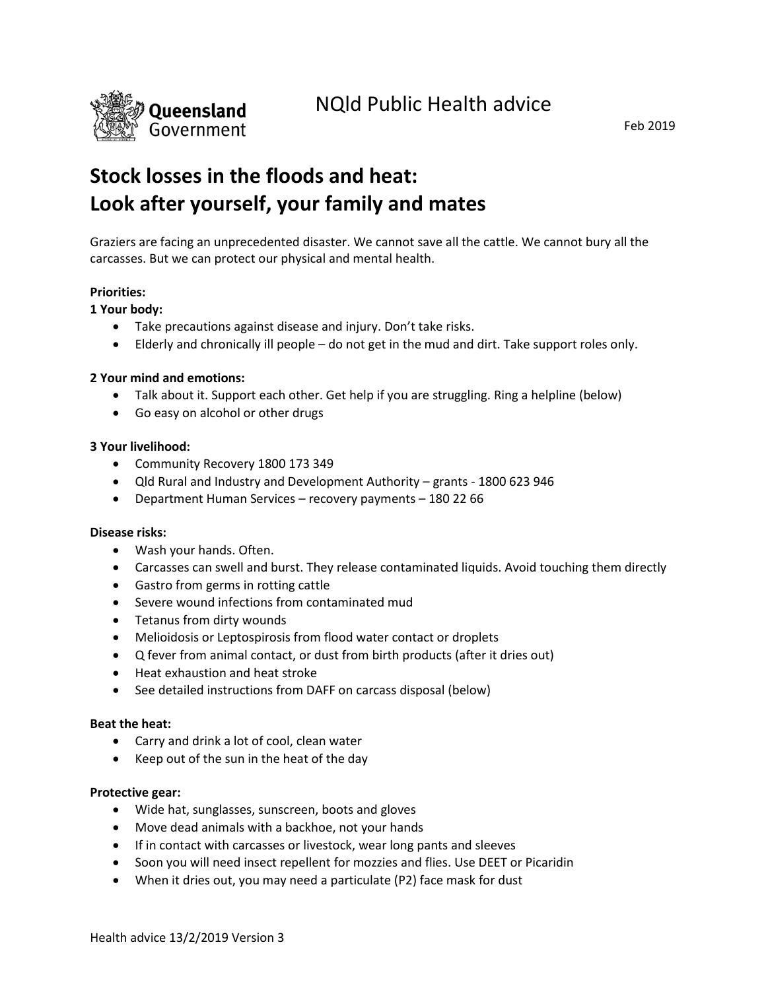

# **Stock losses in the floods and heat: Look after yourself, your family and mates**

Graziers are facing an unprecedented disaster. We cannot save all the cattle. We cannot bury all the carcasses. But we can protect our physical and mental health.

# **Priorities:**

# **1 Your body:**

- Take precautions against disease and injury. Don't take risks.
- Elderly and chronically ill people do not get in the mud and dirt. Take support roles only.

# **2 Your mind and emotions:**

- Talk about it. Support each other. Get help if you are struggling. Ring a helpline (below)
- Go easy on alcohol or other drugs

# **3 Your livelihood:**

- Community Recovery 1800 173 349
- Qld Rural and Industry and Development Authority grants 1800 623 946
- Department Human Services recovery payments 180 22 66

# **Disease risks:**

- Wash your hands. Often.
- Carcasses can swell and burst. They release contaminated liquids. Avoid touching them directly
- Gastro from germs in rotting cattle
- Severe wound infections from contaminated mud
- Tetanus from dirty wounds
- Melioidosis or Leptospirosis from flood water contact or droplets
- Q fever from animal contact, or dust from birth products (after it dries out)
- Heat exhaustion and heat stroke
- See detailed instructions from DAFF on carcass disposal (below)

#### **Beat the heat:**

- Carry and drink a lot of cool, clean water
- Keep out of the sun in the heat of the day

# **Protective gear:**

- Wide hat, sunglasses, sunscreen, boots and gloves
- Move dead animals with a backhoe, not your hands
- If in contact with carcasses or livestock, wear long pants and sleeves
- Soon you will need insect repellent for mozzies and flies. Use DEET or Picaridin
- When it dries out, you may need a particulate (P2) face mask for dust